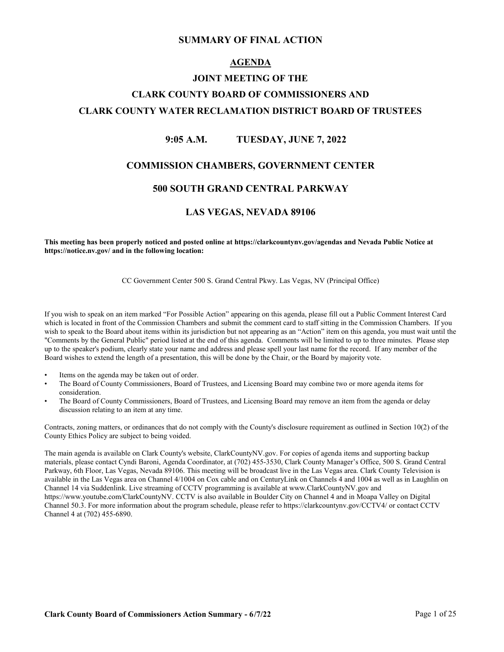#### **SUMMARY OF FINAL ACTION**

#### **AGENDA**

## **JOINT MEETING OF THE CLARK COUNTY BOARD OF COMMISSIONERS AND CLARK COUNTY WATER RECLAMATION DISTRICT BOARD OF TRUSTEES**

#### **9:05 A.M. TUESDAY, JUNE 7, 2022**

#### **COMMISSION CHAMBERS, GOVERNMENT CENTER**

#### **500 SOUTH GRAND CENTRAL PARKWAY**

#### **LAS VEGAS, NEVADA 89106**

**This meeting has been properly noticed and posted online at https://clarkcountynv.gov/agendas and Nevada Public Notice at https://notice.nv.gov/ and in the following location:**

CC Government Center 500 S. Grand Central Pkwy. Las Vegas, NV (Principal Office)

If you wish to speak on an item marked "For Possible Action" appearing on this agenda, please fill out a Public Comment Interest Card which is located in front of the Commission Chambers and submit the comment card to staff sitting in the Commission Chambers. If you wish to speak to the Board about items within its jurisdiction but not appearing as an "Action" item on this agenda, you must wait until the "Comments by the General Public" period listed at the end of this agenda. Comments will be limited to up to three minutes. Please step up to the speaker's podium, clearly state your name and address and please spell your last name for the record. If any member of the Board wishes to extend the length of a presentation, this will be done by the Chair, or the Board by majority vote.

- Items on the agenda may be taken out of order.
- The Board of County Commissioners, Board of Trustees, and Licensing Board may combine two or more agenda items for consideration.
- The Board of County Commissioners, Board of Trustees, and Licensing Board may remove an item from the agenda or delay discussion relating to an item at any time.

Contracts, zoning matters, or ordinances that do not comply with the County's disclosure requirement as outlined in Section 10(2) of the County Ethics Policy are subject to being voided.

The main agenda is available on Clark County's website, ClarkCountyNV.gov. For copies of agenda items and supporting backup materials, please contact Cyndi Baroni, Agenda Coordinator, at (702) 455-3530, Clark County Manager's Office, 500 S. Grand Central Parkway, 6th Floor, Las Vegas, Nevada 89106. This meeting will be broadcast live in the Las Vegas area. Clark County Television is available in the Las Vegas area on Channel 4/1004 on Cox cable and on CenturyLink on Channels 4 and 1004 as well as in Laughlin on Channel 14 via Suddenlink. Live streaming of CCTV programming is available at www.ClarkCountyNV.gov and https://www.youtube.com/ClarkCountyNV. CCTV is also available in Boulder City on Channel 4 and in Moapa Valley on Digital Channel 50.3. For more information about the program schedule, please refer to https://clarkcountynv.gov/CCTV4/ or contact CCTV Channel 4 at (702) 455-6890.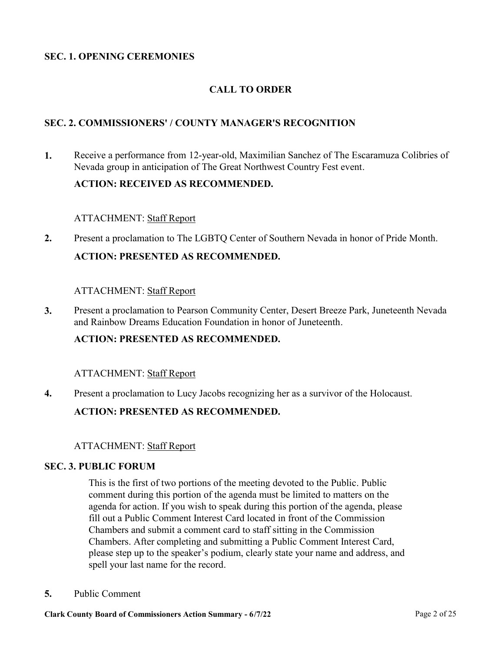## **SEC. 1. OPENING CEREMONIES**

## **CALL TO ORDER**

## **SEC. 2. COMMISSIONERS' / COUNTY MANAGER'S RECOGNITION**

[Receive a performance from 12-year-old, Maximilian Sanchez of The Escaramuza Colibries of](http://clark.legistar.com/gateway.aspx?m=l&id=/matter.aspx?key=8858)  Nevada group in anticipation of The Great Northwest Country Fest event. **1.**

#### **ACTION: RECEIVED AS RECOMMENDED.**

#### ATTACHMENT: Staff Report

**2.** [Present a proclamation to The LGBTQ Center of Southern Nevada in honor of Pride Month.](http://clark.legistar.com/gateway.aspx?m=l&id=/matter.aspx?key=8977) **ACTION: PRESENTED AS RECOMMENDED.**

#### ATTACHMENT: Staff Report

[Present a proclamation to Pearson Community Center, Desert Breeze Park, Juneteenth Nevada](http://clark.legistar.com/gateway.aspx?m=l&id=/matter.aspx?key=8978)  and Rainbow Dreams Education Foundation in honor of Juneteenth. **3.**

#### **ACTION: PRESENTED AS RECOMMENDED.**

#### ATTACHMENT: Staff Report

**4.** [Present a proclamation to Lucy Jacobs recognizing her as a survivor of the Holocaust.](http://clark.legistar.com/gateway.aspx?m=l&id=/matter.aspx?key=9026)

#### **ACTION: PRESENTED AS RECOMMENDED.**

#### ATTACHMENT: Staff Report

#### **SEC. 3. PUBLIC FORUM**

This is the first of two portions of the meeting devoted to the Public. Public comment during this portion of the agenda must be limited to matters on the agenda for action. If you wish to speak during this portion of the agenda, please fill out a Public Comment Interest Card located in front of the Commission Chambers and submit a comment card to staff sitting in the Commission Chambers. After completing and submitting a Public Comment Interest Card, please step up to the speaker's podium, clearly state your name and address, and spell your last name for the record.

**5.** [Public Comment](http://clark.legistar.com/gateway.aspx?m=l&id=/matter.aspx?key=8547)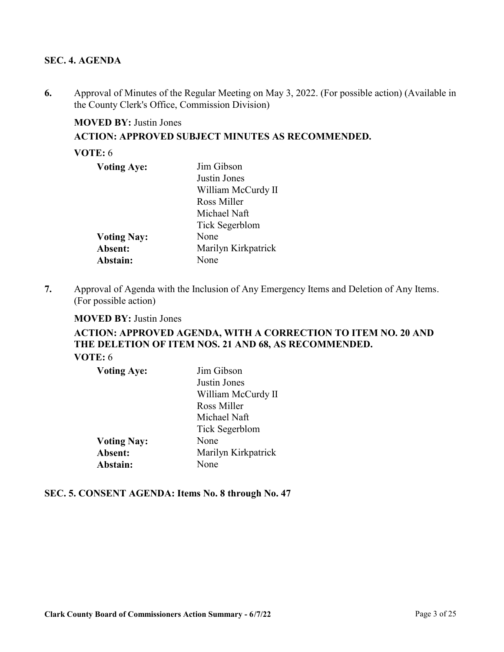## **SEC. 4. AGENDA**

[Approval of Minutes of the Regular Meeting on May 3, 2022. \(For possible action\) \(Available in](http://clark.legistar.com/gateway.aspx?m=l&id=/matter.aspx?key=8545)  the County Clerk's Office, Commission Division) **6.**

## **MOVED BY:** Justin Jones

**ACTION: APPROVED SUBJECT MINUTES AS RECOMMENDED.**

#### **VOTE:** 6

| <b>Voting Aye:</b> | Jim Gibson          |
|--------------------|---------------------|
|                    | Justin Jones        |
|                    | William McCurdy II  |
|                    | Ross Miller         |
|                    | Michael Naft        |
|                    | Tick Segerblom      |
| <b>Voting Nay:</b> | None                |
| Absent:            | Marilyn Kirkpatrick |
| Abstain:           | None                |

[Approval of Agenda with the Inclusion of Any Emergency Items and Deletion of Any Items.](http://clark.legistar.com/gateway.aspx?m=l&id=/matter.aspx?key=8546)  (For possible action) **7.**

#### **MOVED BY:** Justin Jones

## **ACTION: APPROVED AGENDA, WITH A CORRECTION TO ITEM NO. 20 AND THE DELETION OF ITEM NOS. 21 AND 68, AS RECOMMENDED. VOTE:** 6

| <b>Voting Aye:</b> | Jim Gibson          |
|--------------------|---------------------|
|                    | Justin Jones        |
|                    | William McCurdy II  |
|                    | Ross Miller         |
|                    | Michael Naft        |
|                    | Tick Segerblom      |
| <b>Voting Nay:</b> | None                |
| Absent:            | Marilyn Kirkpatrick |
| Abstain:           | None                |

## **SEC. 5. CONSENT AGENDA: Items No. 8 through No. 47**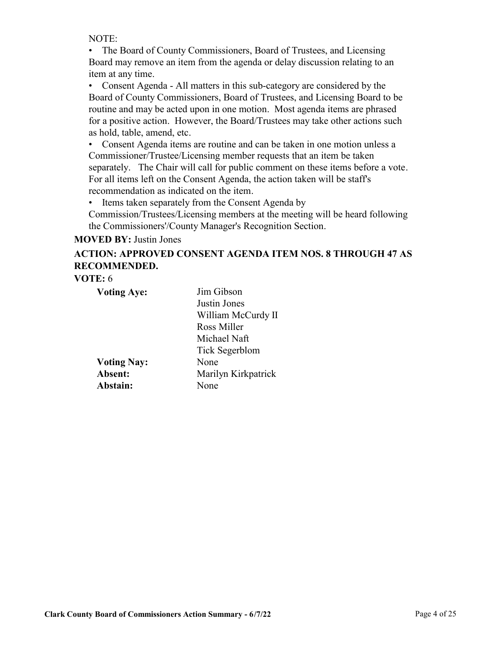NOTE:

• The Board of County Commissioners, Board of Trustees, and Licensing Board may remove an item from the agenda or delay discussion relating to an item at any time.

• Consent Agenda - All matters in this sub-category are considered by the Board of County Commissioners, Board of Trustees, and Licensing Board to be routine and may be acted upon in one motion. Most agenda items are phrased for a positive action. However, the Board/Trustees may take other actions such as hold, table, amend, etc.

• Consent Agenda items are routine and can be taken in one motion unless a Commissioner/Trustee/Licensing member requests that an item be taken separately. The Chair will call for public comment on these items before a vote. For all items left on the Consent Agenda, the action taken will be staff's recommendation as indicated on the item.

• Items taken separately from the Consent Agenda by

Commission/Trustees/Licensing members at the meeting will be heard following the Commissioners'/County Manager's Recognition Section.

**MOVED BY:** Justin Jones

## **ACTION: APPROVED CONSENT AGENDA ITEM NOS. 8 THROUGH 47 AS RECOMMENDED.**

**VOTE:** 6

| <b>Voting Aye:</b> | Jim Gibson            |
|--------------------|-----------------------|
|                    | Justin Jones          |
|                    | William McCurdy II    |
|                    | Ross Miller           |
|                    | Michael Naft          |
|                    | <b>Tick Segerblom</b> |
| <b>Voting Nay:</b> | None                  |
| Absent:            | Marilyn Kirkpatrick   |
| Abstain:           | None                  |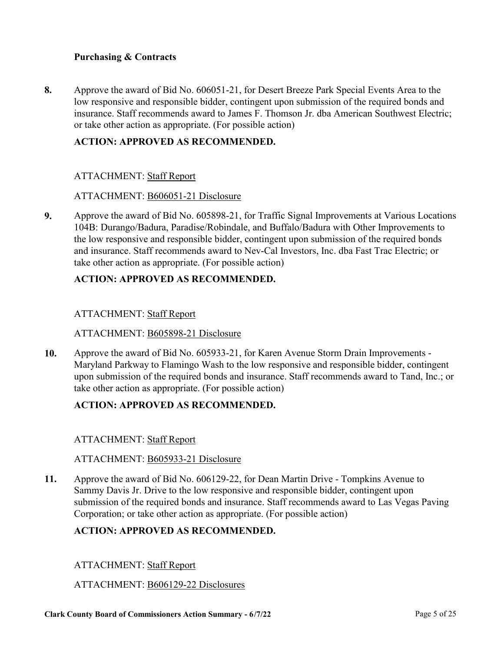## **Purchasing & Contracts**

Approve the award of Bid No. 606051-21, for Desert Breeze Park Special Events Area to the low responsive and responsible bidder, contingent upon submission of the required bonds and [insurance. Staff recommends award to James F. Thomson Jr. dba American Southwest Electric;](http://clark.legistar.com/gateway.aspx?m=l&id=/matter.aspx?key=8685)  or take other action as appropriate. (For possible action) **8.**

## **ACTION: APPROVED AS RECOMMENDED.**

## ATTACHMENT: Staff Report

#### ATTACHMENT: B606051-21 Disclosure

[Approve the award of Bid No. 605898-21, for Traffic Signal Improvements at Various Locations](http://clark.legistar.com/gateway.aspx?m=l&id=/matter.aspx?key=8686)  104B: Durango/Badura, Paradise/Robindale, and Buffalo/Badura with Other Improvements to the low responsive and responsible bidder, contingent upon submission of the required bonds and insurance. Staff recommends award to Nev-Cal Investors, Inc. dba Fast Trac Electric; or take other action as appropriate. (For possible action) **9.**

## **ACTION: APPROVED AS RECOMMENDED.**

#### ATTACHMENT: Staff Report

#### ATTACHMENT: B605898-21 Disclosure

Approve the award of Bid No. 605933-21, for Karen Avenue Storm Drain Improvements - Maryland Parkway to Flamingo Wash to the low responsive and responsible bidder, contingent [upon submission of the required bonds and insurance. Staff recommends award to Tand, Inc.; or](http://clark.legistar.com/gateway.aspx?m=l&id=/matter.aspx?key=8688)  take other action as appropriate. (For possible action) **10.**

## **ACTION: APPROVED AS RECOMMENDED.**

#### ATTACHMENT: Staff Report

#### ATTACHMENT: B605933-21 Disclosure

Approve the award of Bid No. 606129-22, for Dean Martin Drive - Tompkins Avenue to Sammy Davis Jr. Drive to the low responsive and responsible bidder, contingent upon [submission of the required bonds and insurance. Staff recommends award to Las Vegas Paving](http://clark.legistar.com/gateway.aspx?m=l&id=/matter.aspx?key=8689)  Corporation; or take other action as appropriate. (For possible action) **11.**

#### **ACTION: APPROVED AS RECOMMENDED.**

#### ATTACHMENT: Staff Report

#### ATTACHMENT: B606129-22 Disclosures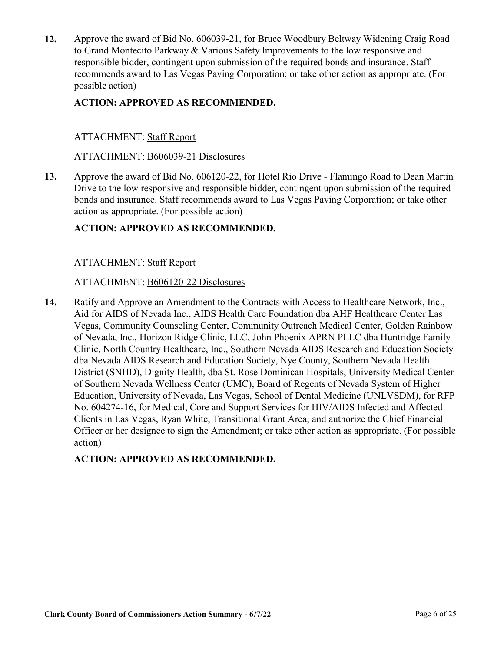[Approve the award of Bid No. 606039-21, for Bruce Woodbury Beltway Widening Craig Road](http://clark.legistar.com/gateway.aspx?m=l&id=/matter.aspx?key=8690)  to Grand Montecito Parkway & Various Safety Improvements to the low responsive and responsible bidder, contingent upon submission of the required bonds and insurance. Staff recommends award to Las Vegas Paving Corporation; or take other action as appropriate. (For possible action) **12.**

## **ACTION: APPROVED AS RECOMMENDED.**

## ATTACHMENT: Staff Report

#### ATTACHMENT: B606039-21 Disclosures

[Approve the award of Bid No. 606120-22, for Hotel Rio Drive - Flamingo Road to Dean Martin](http://clark.legistar.com/gateway.aspx?m=l&id=/matter.aspx?key=8693)  Drive to the low responsive and responsible bidder, contingent upon submission of the required bonds and insurance. Staff recommends award to Las Vegas Paving Corporation; or take other action as appropriate. (For possible action) **13.**

## **ACTION: APPROVED AS RECOMMENDED.**

#### ATTACHMENT: Staff Report

#### ATTACHMENT: B606120-22 Disclosures

Ratify and Approve an Amendment to the Contracts with Access to Healthcare Network, Inc., Aid for AIDS of Nevada Inc., AIDS Health Care Foundation dba AHF Healthcare Center Las Vegas, Community Counseling Center, Community Outreach Medical Center, Golden Rainbow of Nevada, Inc., Horizon Ridge Clinic, LLC, John Phoenix APRN PLLC dba Huntridge Family Clinic, North Country Healthcare, Inc., Southern Nevada AIDS Research and Education Society dba Nevada AIDS Research and Education Society, Nye County, Southern Nevada Health District (SNHD), Dignity Health, dba St. Rose Dominican Hospitals, University Medical Center of Southern Nevada Wellness Center (UMC), Board of Regents of Nevada System of Higher [Education, University of Nevada, Las Vegas, School of Dental Medicine \(UNLVSDM\), for RFP](http://clark.legistar.com/gateway.aspx?m=l&id=/matter.aspx?key=8830)  No. 604274-16, for Medical, Core and Support Services for HIV/AIDS Infected and Affected Clients in Las Vegas, Ryan White, Transitional Grant Area; and authorize the Chief Financial Officer or her designee to sign the Amendment; or take other action as appropriate. (For possible action) **14.**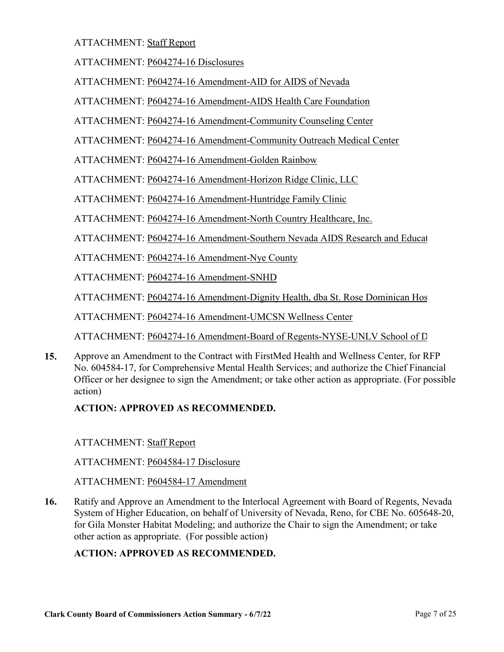ATTACHMENT: P604274-16 Disclosures

ATTACHMENT: P604274-16 Amendment-AID for AIDS of Nevada

ATTACHMENT: P604274-16 Amendment-AIDS Health Care Foundation

ATTACHMENT: P604274-16 Amendment-Community Counseling Center

ATTACHMENT: P604274-16 Amendment-Community Outreach Medical Center

ATTACHMENT: P604274-16 Amendment-Golden Rainbow

ATTACHMENT: P604274-16 Amendment-Horizon Ridge Clinic, LLC

ATTACHMENT: P604274-16 Amendment-Huntridge Family Clinic

ATTACHMENT: P604274-16 Amendment-North Country Healthcare, Inc.

ATTACHMENT: P604274-16 Amendment-Southern Nevada AIDS Research and Educat

ATTACHMENT: P604274-16 Amendment-Nye County

ATTACHMENT: P604274-16 Amendment-SNHD

ATTACHMENT: P604274-16 Amendment-Dignity Health, dba St. Rose Dominican Hos

ATTACHMENT: P604274-16 Amendment-UMCSN Wellness Center

ATTACHMENT: P604274-16 Amendment-Board of Regents-NYSE-UNLV School of D

Approve an Amendment to the Contract with FirstMed Health and Wellness Center, for RFP No. 604584-17, for Comprehensive Mental Health Services; and authorize the Chief Financial [Officer or her designee to sign the Amendment; or take other action as appropriate. \(For possible](http://clark.legistar.com/gateway.aspx?m=l&id=/matter.aspx?key=8833)  action) **15.**

## **ACTION: APPROVED AS RECOMMENDED.**

ATTACHMENT: Staff Report

ATTACHMENT: P604584-17 Disclosure

ATTACHMENT: P604584-17 Amendment

Ratify and Approve an Amendment to the Interlocal Agreement with Board of Regents, Nevada [System of Higher Education, on behalf of University of Nevada, Reno, for CBE No. 605648-20,](http://clark.legistar.com/gateway.aspx?m=l&id=/matter.aspx?key=8835)  for Gila Monster Habitat Modeling; and authorize the Chair to sign the Amendment; or take other action as appropriate. (For possible action) **16.**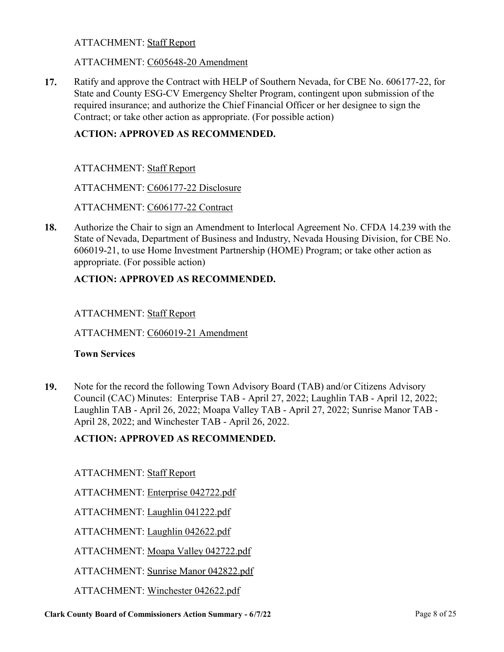#### ATTACHMENT: C605648-20 Amendment

[Ratify and approve the Contract with HELP of Southern Nevada, for CBE No. 606177-22, for](http://clark.legistar.com/gateway.aspx?m=l&id=/matter.aspx?key=8836)  State and County ESG-CV Emergency Shelter Program, contingent upon submission of the required insurance; and authorize the Chief Financial Officer or her designee to sign the Contract; or take other action as appropriate. (For possible action) **17.**

## **ACTION: APPROVED AS RECOMMENDED.**

ATTACHMENT: Staff Report

ATTACHMENT: C606177-22 Disclosure

ATTACHMENT: C606177-22 Contract

[Authorize the Chair to sign an Amendment to Interlocal Agreement No. CFDA 14.239 with the](http://clark.legistar.com/gateway.aspx?m=l&id=/matter.aspx?key=8843)  State of Nevada, Department of Business and Industry, Nevada Housing Division, for CBE No. 606019-21, to use Home Investment Partnership (HOME) Program; or take other action as appropriate. (For possible action) **18.**

## **ACTION: APPROVED AS RECOMMENDED.**

#### ATTACHMENT: Staff Report

ATTACHMENT: C606019-21 Amendment

#### **Town Services**

Note for the record the following Town Advisory Board (TAB) and/or Citizens Advisory Council (CAC) Minutes: Enterprise TAB - April 27, 2022; Laughlin TAB - April 12, 2022; [Laughlin TAB - April 26, 2022; Moapa Valley TAB - April 27, 2022; Sunrise Manor TAB -](http://clark.legistar.com/gateway.aspx?m=l&id=/matter.aspx?key=8998)  April 28, 2022; and Winchester TAB - April 26, 2022. **19.**

#### **ACTION: APPROVED AS RECOMMENDED.**

ATTACHMENT: Staff Report

ATTACHMENT: Enterprise 042722.pdf

ATTACHMENT: Laughlin 041222.pdf

ATTACHMENT: Laughlin 042622.pdf

ATTACHMENT: Moapa Valley 042722.pdf

ATTACHMENT: Sunrise Manor 042822.pdf

ATTACHMENT: Winchester 042622.pdf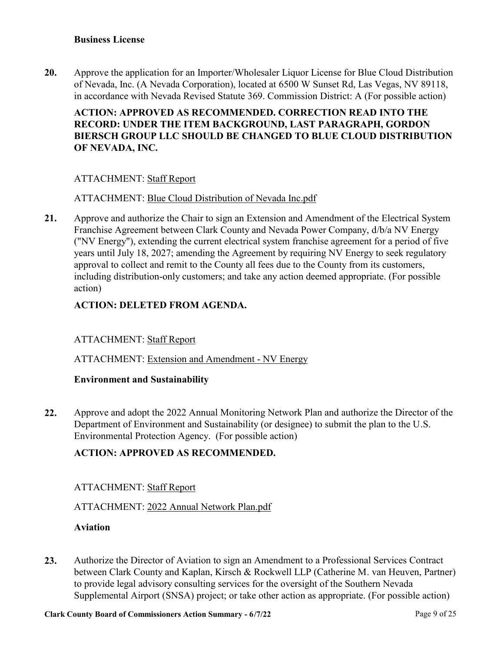[Approve the application for an Importer/Wholesaler Liquor License for Blue Cloud Distribution](http://clark.legistar.com/gateway.aspx?m=l&id=/matter.aspx?key=8853)  of Nevada, Inc. (A Nevada Corporation), located at 6500 W Sunset Rd, Las Vegas, NV 89118, in accordance with Nevada Revised Statute 369. Commission District: A (For possible action) **20.**

## **ACTION: APPROVED AS RECOMMENDED. CORRECTION READ INTO THE RECORD: UNDER THE ITEM BACKGROUND, LAST PARAGRAPH, GORDON BIERSCH GROUP LLC SHOULD BE CHANGED TO BLUE CLOUD DISTRIBUTION OF NEVADA, INC.**

## ATTACHMENT: Staff Report

## ATTACHMENT: Blue Cloud Distribution of Nevada Inc.pdf

[Approve and authorize the Chair to sign an Extension and Amendment of the Electrical System](http://clark.legistar.com/gateway.aspx?m=l&id=/matter.aspx?key=8989)  Franchise Agreement between Clark County and Nevada Power Company, d/b/a NV Energy ("NV Energy"), extending the current electrical system franchise agreement for a period of five years until July 18, 2027; amending the Agreement by requiring NV Energy to seek regulatory approval to collect and remit to the County all fees due to the County from its customers, including distribution-only customers; and take any action deemed appropriate. (For possible action) **21.**

## **ACTION: DELETED FROM AGENDA.**

## ATTACHMENT: Staff Report

ATTACHMENT: Extension and Amendment - NV Energy

#### **Environment and Sustainability**

[Approve and adopt the 2022 Annual Monitoring Network Plan and authorize the Director of the](http://clark.legistar.com/gateway.aspx?m=l&id=/matter.aspx?key=8841)  Department of Environment and Sustainability (or designee) to submit the plan to the U.S. Environmental Protection Agency. (For possible action) **22.**

## **ACTION: APPROVED AS RECOMMENDED.**

#### ATTACHMENT: Staff Report

#### ATTACHMENT: 2022 Annual Network Plan.pdf

#### **Aviation**

Authorize the Director of Aviation to sign an Amendment to a Professional Services Contract [between Clark County and Kaplan, Kirsch & Rockwell LLP \(Catherine M. van Heuven, Partner\)](http://clark.legistar.com/gateway.aspx?m=l&id=/matter.aspx?key=8994)  to provide legal advisory consulting services for the oversight of the Southern Nevada Supplemental Airport (SNSA) project; or take other action as appropriate. (For possible action) **23.**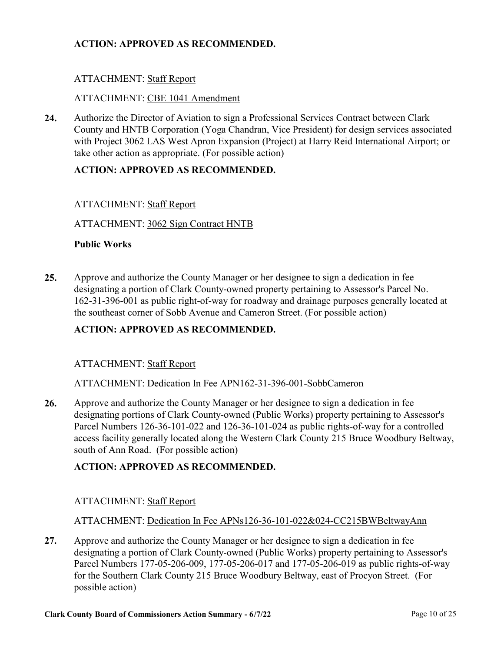## **ACTION: APPROVED AS RECOMMENDED.**

## ATTACHMENT: Staff Report

## ATTACHMENT: CBE 1041 Amendment

Authorize the Director of Aviation to sign a Professional Services Contract between Clark [County and HNTB Corporation \(Yoga Chandran, Vice President\) for design services associated](http://clark.legistar.com/gateway.aspx?m=l&id=/matter.aspx?key=8997)  with Project 3062 LAS West Apron Expansion (Project) at Harry Reid International Airport; or take other action as appropriate. (For possible action) **24.**

## **ACTION: APPROVED AS RECOMMENDED.**

## ATTACHMENT: Staff Report

ATTACHMENT: 3062 Sign Contract HNTB

## **Public Works**

Approve and authorize the County Manager or her designee to sign a dedication in fee designating a portion of Clark County-owned property pertaining to Assessor's Parcel No. [162-31-396-001 as public right-of-way for roadway and drainage purposes generally located at](http://clark.legistar.com/gateway.aspx?m=l&id=/matter.aspx?key=9001)  the southeast corner of Sobb Avenue and Cameron Street. (For possible action) **25.**

## **ACTION: APPROVED AS RECOMMENDED.**

#### ATTACHMENT: Staff Report

#### ATTACHMENT: Dedication In Fee APN162-31-396-001-SobbCameron

Approve and authorize the County Manager or her designee to sign a dedication in fee designating portions of Clark County-owned (Public Works) property pertaining to Assessor's Parcel Numbers 126-36-101-022 and 126-36-101-024 as public rights-of-way for a controlled [access facility generally located along the Western Clark County 215 Bruce Woodbury Beltway,](http://clark.legistar.com/gateway.aspx?m=l&id=/matter.aspx?key=9002)  south of Ann Road. (For possible action) **26.**

## **ACTION: APPROVED AS RECOMMENDED.**

#### ATTACHMENT: Staff Report

#### ATTACHMENT: Dedication In Fee APNs126-36-101-022&024-CC215BWBeltwayAnn

Approve and authorize the County Manager or her designee to sign a dedication in fee designating a portion of Clark County-owned (Public Works) property pertaining to Assessor's [Parcel Numbers 177-05-206-009, 177-05-206-017 and 177-05-206-019 as public rights-of-way](http://clark.legistar.com/gateway.aspx?m=l&id=/matter.aspx?key=9003)  for the Southern Clark County 215 Bruce Woodbury Beltway, east of Procyon Street. (For possible action) **27.**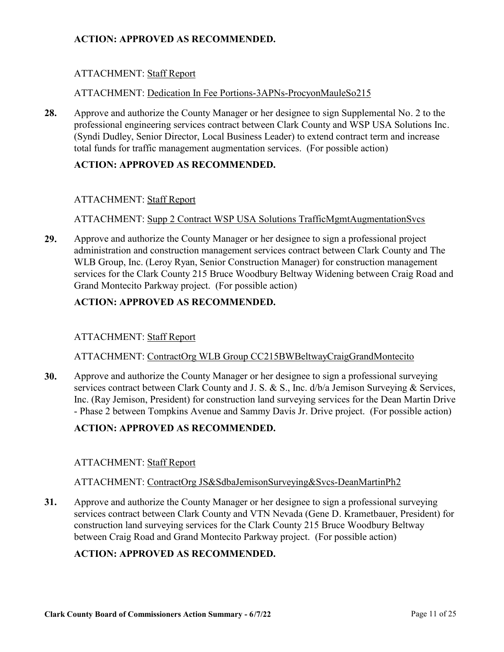## **ACTION: APPROVED AS RECOMMENDED.**

## ATTACHMENT: Staff Report

## ATTACHMENT: Dedication In Fee Portions-3APNs-ProcyonMauleSo215

Approve and authorize the County Manager or her designee to sign Supplemental No. 2 to the [professional engineering services contract between Clark County and WSP USA Solutions Inc.](http://clark.legistar.com/gateway.aspx?m=l&id=/matter.aspx?key=9004)  (Syndi Dudley, Senior Director, Local Business Leader) to extend contract term and increase total funds for traffic management augmentation services. (For possible action) **28.**

## **ACTION: APPROVED AS RECOMMENDED.**

## ATTACHMENT: Staff Report

ATTACHMENT: Supp 2 Contract WSP USA Solutions TrafficMgmtAugmentationSvcs

Approve and authorize the County Manager or her designee to sign a professional project administration and construction management services contract between Clark County and The WLB Group, Inc. (Leroy Ryan, Senior Construction Manager) for construction management [services for the Clark County 215 Bruce Woodbury Beltway Widening between Craig Road and](http://clark.legistar.com/gateway.aspx?m=l&id=/matter.aspx?key=9005)  Grand Montecito Parkway project. (For possible action) **29.**

## **ACTION: APPROVED AS RECOMMENDED.**

#### ATTACHMENT: Staff Report

ATTACHMENT: ContractOrg WLB Group CC215BWBeltwayCraigGrandMontecito

Approve and authorize the County Manager or her designee to sign a professional surveying services contract between Clark County and J. S. & S., Inc.  $d/b/a$  Jemison Surveying & Services, Inc. (Ray Jemison, President) for construction land surveying services for the Dean Martin Drive - Phase 2 between Tompkins Avenue and Sammy Davis Jr. Drive project. (For possible action) **30.**

## **ACTION: APPROVED AS RECOMMENDED.**

#### ATTACHMENT: Staff Report

#### ATTACHMENT: ContractOrg JS&SdbaJemisonSurveying&Svcs-DeanMartinPh2

Approve and authorize the County Manager or her designee to sign a professional surveying [services contract between Clark County and VTN Nevada \(Gene D. Krametbauer, President\) for](http://clark.legistar.com/gateway.aspx?m=l&id=/matter.aspx?key=9007)  construction land surveying services for the Clark County 215 Bruce Woodbury Beltway between Craig Road and Grand Montecito Parkway project. (For possible action) **31.**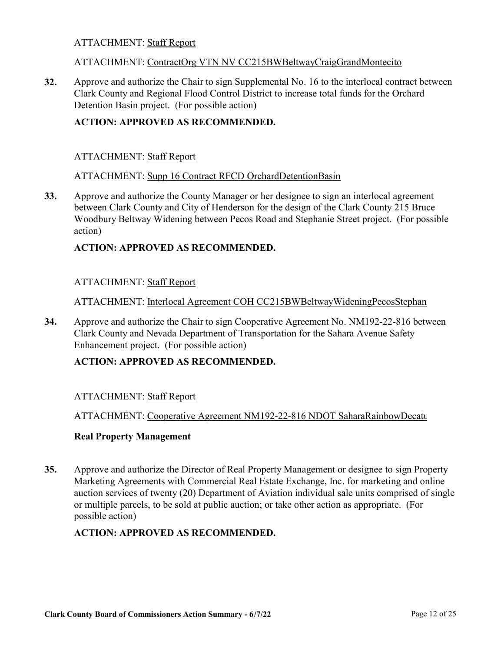#### ATTACHMENT: ContractOrg VTN NV CC215BWBeltwayCraigGrandMontecito

[Approve and authorize the Chair to sign Supplemental No. 16 to the interlocal contract between](http://clark.legistar.com/gateway.aspx?m=l&id=/matter.aspx?key=9008)  Clark County and Regional Flood Control District to increase total funds for the Orchard Detention Basin project. (For possible action) **32.**

## **ACTION: APPROVED AS RECOMMENDED.**

#### ATTACHMENT: Staff Report

#### ATTACHMENT: Supp 16 Contract RFCD OrchardDetentionBasin

Approve and authorize the County Manager or her designee to sign an interlocal agreement between Clark County and City of Henderson for the design of the Clark County 215 Bruce [Woodbury Beltway Widening between Pecos Road and Stephanie Street project. \(For possible](http://clark.legistar.com/gateway.aspx?m=l&id=/matter.aspx?key=9010)  action) **33.**

#### **ACTION: APPROVED AS RECOMMENDED.**

#### ATTACHMENT: Staff Report

ATTACHMENT: Interlocal Agreement COH CC215BWBeltwayWideningPecosStephan

[Approve and authorize the Chair to sign Cooperative Agreement No. NM192-22-816 between](http://clark.legistar.com/gateway.aspx?m=l&id=/matter.aspx?key=9011)  Clark County and Nevada Department of Transportation for the Sahara Avenue Safety Enhancement project. (For possible action) **34.**

#### **ACTION: APPROVED AS RECOMMENDED.**

#### ATTACHMENT: Staff Report

ATTACHMENT: Cooperative Agreement NM192-22-816 NDOT SaharaRainbowDecatu

#### **Real Property Management**

Approve and authorize the Director of Real Property Management or designee to sign Property Marketing Agreements with Commercial Real Estate Exchange, Inc. for marketing and online [auction services of twenty \(20\) Department of Aviation individual sale units comprised of single](http://clark.legistar.com/gateway.aspx?m=l&id=/matter.aspx?key=8996)  or multiple parcels, to be sold at public auction; or take other action as appropriate. (For possible action) **35.**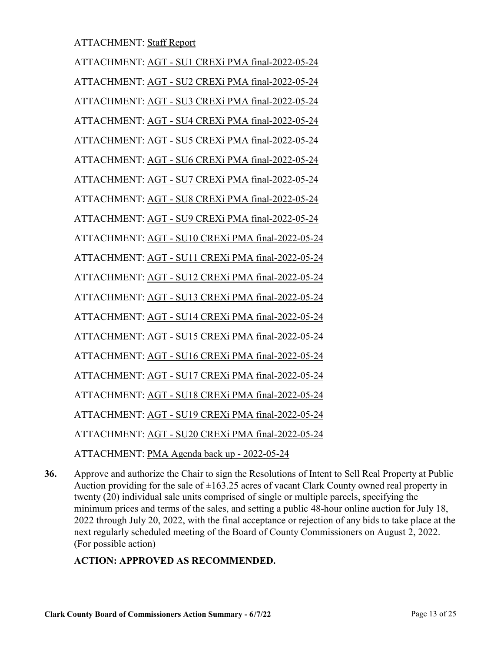ATTACHMENT: AGT - SU1 CREXi PMA final-2022-05-24 ATTACHMENT: AGT - SU2 CREXi PMA final-2022-05-24 ATTACHMENT: AGT - SU3 CREXi PMA final-2022-05-24 ATTACHMENT: AGT - SU4 CREXi PMA final-2022-05-24 ATTACHMENT: AGT - SU5 CREXi PMA final-2022-05-24 ATTACHMENT: AGT - SU6 CREXi PMA final-2022-05-24 ATTACHMENT: AGT - SU7 CREXi PMA final-2022-05-24 ATTACHMENT: AGT - SU8 CREXi PMA final-2022-05-24 ATTACHMENT: AGT - SU9 CREXi PMA final-2022-05-24 ATTACHMENT: AGT - SU10 CREXi PMA final-2022-05-24 ATTACHMENT: AGT - SU11 CREXi PMA final-2022-05-24 ATTACHMENT: AGT - SU12 CREXi PMA final-2022-05-24 ATTACHMENT: AGT - SU13 CREXi PMA final-2022-05-24 ATTACHMENT: AGT - SU14 CREXi PMA final-2022-05-24 ATTACHMENT: AGT - SU15 CREXi PMA final-2022-05-24 ATTACHMENT: AGT - SU16 CREXi PMA final-2022-05-24 ATTACHMENT: AGT - SU17 CREXi PMA final-2022-05-24 ATTACHMENT: AGT - SU18 CREXi PMA final-2022-05-24 ATTACHMENT: AGT - SU19 CREXi PMA final-2022-05-24 ATTACHMENT: AGT - SU20 CREXi PMA final-2022-05-24 ATTACHMENT: PMA Agenda back up - 2022-05-24

Approve and authorize the Chair to sign the Resolutions of Intent to Sell Real Property at Public Auction providing for the sale of  $\pm 163.25$  acres of vacant Clark County owned real property in twenty (20) individual sale units comprised of single or multiple parcels, specifying the minimum prices and terms of the sales, and setting a public 48-hour online auction for July 18, [2022 through July 20, 2022, with the final acceptance or rejection of any bids to take place at the](http://clark.legistar.com/gateway.aspx?m=l&id=/matter.aspx?key=9000)  next regularly scheduled meeting of the Board of County Commissioners on August 2, 2022. (For possible action) **36.**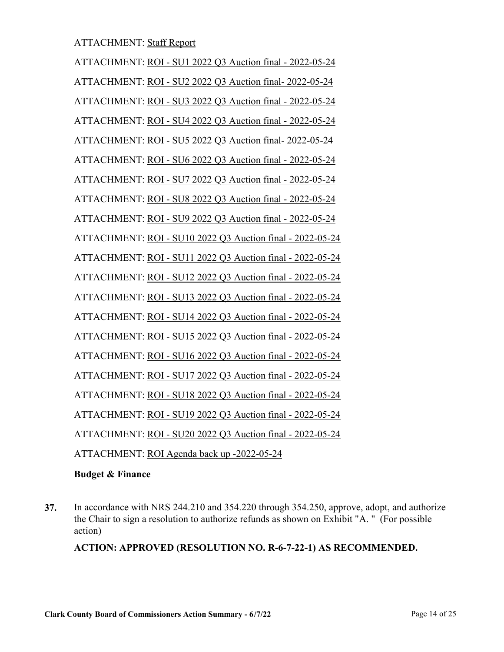ATTACHMENT: ROI - SU1 2022 Q3 Auction final - 2022-05-24 ATTACHMENT: ROI - SU2 2022 Q3 Auction final- 2022-05-24 ATTACHMENT: ROI - SU3 2022 Q3 Auction final - 2022-05-24 ATTACHMENT: ROI - SU4 2022 Q3 Auction final - 2022-05-24 ATTACHMENT: ROI - SU5 2022 Q3 Auction final- 2022-05-24 ATTACHMENT: ROI - SU6 2022 Q3 Auction final - 2022-05-24 ATTACHMENT: ROI - SU7 2022 Q3 Auction final - 2022-05-24 ATTACHMENT: ROI - SU8 2022 Q3 Auction final - 2022-05-24 ATTACHMENT: ROI - SU9 2022 Q3 Auction final - 2022-05-24 ATTACHMENT: ROI - SU10 2022 Q3 Auction final - 2022-05-24 ATTACHMENT: ROI - SU11 2022 Q3 Auction final - 2022-05-24 ATTACHMENT: ROI - SU12 2022 Q3 Auction final - 2022-05-24 ATTACHMENT: ROI - SU13 2022 Q3 Auction final - 2022-05-24 ATTACHMENT: ROI - SU14 2022 Q3 Auction final - 2022-05-24 ATTACHMENT: ROI - SU15 2022 Q3 Auction final - 2022-05-24 ATTACHMENT: ROI - SU16 2022 Q3 Auction final - 2022-05-24 ATTACHMENT: ROI - SU17 2022 Q3 Auction final - 2022-05-24 ATTACHMENT: ROI - SU18 2022 Q3 Auction final - 2022-05-24 ATTACHMENT: ROI - SU19 2022 Q3 Auction final - 2022-05-24 ATTACHMENT: ROI - SU20 2022 Q3 Auction final - 2022-05-24 ATTACHMENT: ROI Agenda back up -2022-05-24

#### **Budget & Finance**

[In accordance with NRS 244.210 and 354.220 through 354.250, approve, adopt, and authorize](http://clark.legistar.com/gateway.aspx?m=l&id=/matter.aspx?key=8980)  the Chair to sign a resolution to authorize refunds as shown on Exhibit "A. " (For possible action) **37.**

**ACTION: APPROVED (RESOLUTION NO. R-6-7-22-1) AS RECOMMENDED.**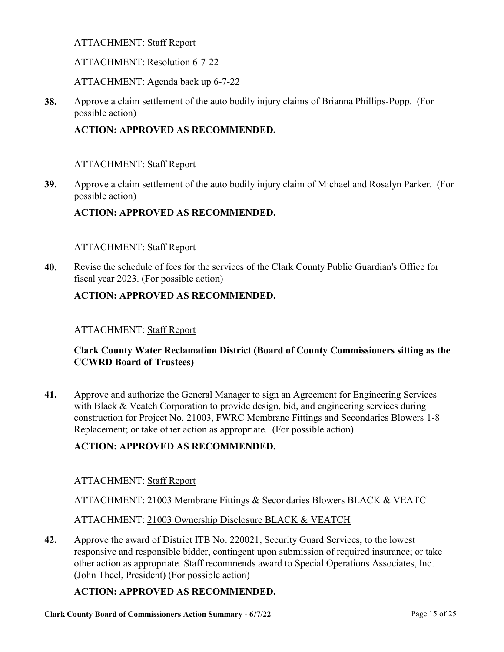## ATTACHMENT: Resolution 6-7-22

ATTACHMENT: Agenda back up 6-7-22

[Approve a claim settlement of the auto bodily injury claims of Brianna Phillips-Popp. \(For](http://clark.legistar.com/gateway.aspx?m=l&id=/matter.aspx?key=8856)  possible action) **38.**

## **ACTION: APPROVED AS RECOMMENDED.**

#### ATTACHMENT: Staff Report

[Approve a claim settlement of the auto bodily injury claim of Michael and Rosalyn Parker. \(For](http://clark.legistar.com/gateway.aspx?m=l&id=/matter.aspx?key=8857)  possible action) **39.**

## **ACTION: APPROVED AS RECOMMENDED.**

#### ATTACHMENT: Staff Report

[Revise the schedule of fees for the services of the Clark County Public Guardian's Office for](http://clark.legistar.com/gateway.aspx?m=l&id=/matter.aspx?key=8870)  fiscal year 2023. (For possible action) **40.**

## **ACTION: APPROVED AS RECOMMENDED.**

#### ATTACHMENT: Staff Report

## **Clark County Water Reclamation District (Board of County Commissioners sitting as the CCWRD Board of Trustees)**

Approve and authorize the General Manager to sign an Agreement for Engineering Services with Black & Veatch Corporation to provide design, bid, and engineering services during [construction for Project No. 21003, FWRC Membrane Fittings and Secondaries Blowers 1-8](http://clark.legistar.com/gateway.aspx?m=l&id=/matter.aspx?key=8829)  Replacement; or take other action as appropriate. (For possible action) **41.**

## **ACTION: APPROVED AS RECOMMENDED.**

#### ATTACHMENT: Staff Report

ATTACHMENT: 21003 Membrane Fittings & Secondaries Blowers BLACK & VEATC

ATTACHMENT: 21003 Ownership Disclosure BLACK & VEATCH

Approve the award of District ITB No. 220021, Security Guard Services, to the lowest [responsive and responsible bidder, contingent upon submission of required insurance; or take](http://clark.legistar.com/gateway.aspx?m=l&id=/matter.aspx?key=8859)  other action as appropriate. Staff recommends award to Special Operations Associates, Inc. (John Theel, President) (For possible action) **42.**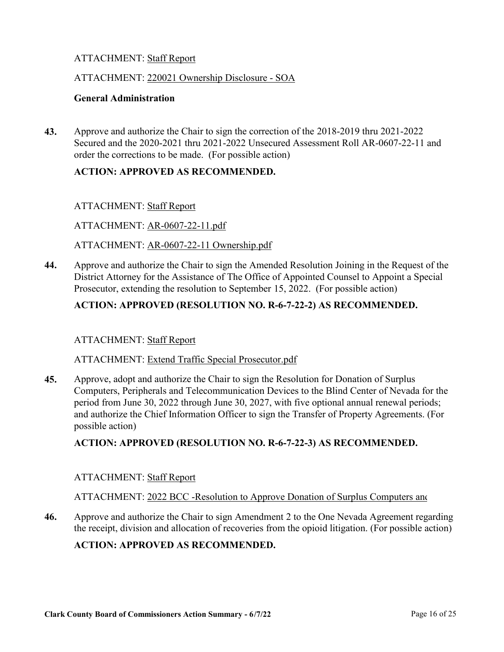#### ATTACHMENT: 220021 Ownership Disclosure - SOA

#### **General Administration**

Approve and authorize the Chair to sign the correction of the 2018-2019 thru 2021-2022 [Secured and the 2020-2021 thru 2021-2022 Unsecured Assessment Roll AR-0607-22-11 and](http://clark.legistar.com/gateway.aspx?m=l&id=/matter.aspx?key=8852)  order the corrections to be made. (For possible action) **43.**

## **ACTION: APPROVED AS RECOMMENDED.**

#### ATTACHMENT: Staff Report

ATTACHMENT: AR-0607-22-11.pdf

#### ATTACHMENT: AR-0607-22-11 Ownership.pdf

[Approve and authorize the Chair to sign the Amended Resolution Joining in the Request of the](http://clark.legistar.com/gateway.aspx?m=l&id=/matter.aspx?key=8854)  District Attorney for the Assistance of The Office of Appointed Counsel to Appoint a Special Prosecutor, extending the resolution to September 15, 2022. (For possible action) **44.**

## **ACTION: APPROVED (RESOLUTION NO. R-6-7-22-2) AS RECOMMENDED.**

#### ATTACHMENT: Staff Report

#### ATTACHMENT: Extend Traffic Special Prosecutor.pdf

Approve, adopt and authorize the Chair to sign the Resolution for Donation of Surplus [Computers, Peripherals and Telecommunication Devices to the Blind Center of Nevada for the](http://clark.legistar.com/gateway.aspx?m=l&id=/matter.aspx?key=8860)  period from June 30, 2022 through June 30, 2027, with five optional annual renewal periods; and authorize the Chief Information Officer to sign the Transfer of Property Agreements. (For possible action) **45.**

#### **ACTION: APPROVED (RESOLUTION NO. R-6-7-22-3) AS RECOMMENDED.**

#### ATTACHMENT: Staff Report

ATTACHMENT: 2022 BCC -Resolution to Approve Donation of Surplus Computers and

[Approve and authorize the Chair to sign Amendment 2 to the One Nevada Agreement regarding](http://clark.legistar.com/gateway.aspx?m=l&id=/matter.aspx?key=9024)  the receipt, division and allocation of recoveries from the opioid litigation. (For possible action) **46.**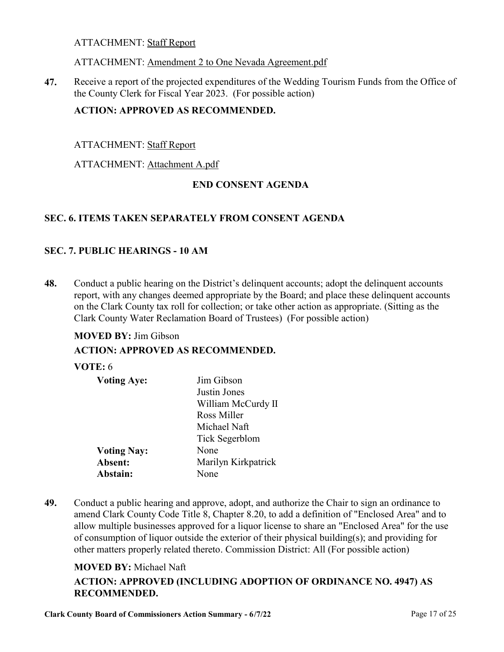#### ATTACHMENT: Amendment 2 to One Nevada Agreement.pdf

[Receive a report of the projected expenditures of the Wedding Tourism Funds from the Office of](http://clark.legistar.com/gateway.aspx?m=l&id=/matter.aspx?key=9025)  the County Clerk for Fiscal Year 2023. (For possible action) **47.**

## **ACTION: APPROVED AS RECOMMENDED.**

## ATTACHMENT: Staff Report

#### ATTACHMENT: Attachment A.pdf

## **END CONSENT AGENDA**

## **SEC. 6. ITEMS TAKEN SEPARATELY FROM CONSENT AGENDA**

## **SEC. 7. PUBLIC HEARINGS - 10 AM**

Conduct a public hearing on the District's delinquent accounts; adopt the delinquent accounts [report, with any changes deemed appropriate by the Board; and place these delinquent accounts](http://clark.legistar.com/gateway.aspx?m=l&id=/matter.aspx?key=8851)  on the Clark County tax roll for collection; or take other action as appropriate. (Sitting as the Clark County Water Reclamation Board of Trustees) (For possible action) **48.**

> **Voting Aye:** Jim Gibson Justin Jones

#### **MOVED BY:** Jim Gibson

#### **ACTION: APPROVED AS RECOMMENDED.**

#### **VOTE:** 6

| <b>Voting Aye:</b> |  |
|--------------------|--|
|                    |  |
|                    |  |

| William McCurdy II  |
|---------------------|
| Ross Miller         |
| Michael Naft        |
| Tick Segerblom      |
| None                |
| Marilyn Kirkpatrick |
| None                |
|                     |

Conduct a public hearing and approve, adopt, and authorize the Chair to sign an ordinance to amend Clark County Code Title 8, Chapter 8.20, to add a definition of "Enclosed Area" and to [allow multiple businesses approved for a liquor license to share an "Enclosed Area" for the use](http://clark.legistar.com/gateway.aspx?m=l&id=/matter.aspx?key=8992)  of consumption of liquor outside the exterior of their physical building(s); and providing for other matters properly related thereto. Commission District: All (For possible action) **49.**

#### **MOVED BY:** Michael Naft

## **ACTION: APPROVED (INCLUDING ADOPTION OF ORDINANCE NO. 4947) AS RECOMMENDED.**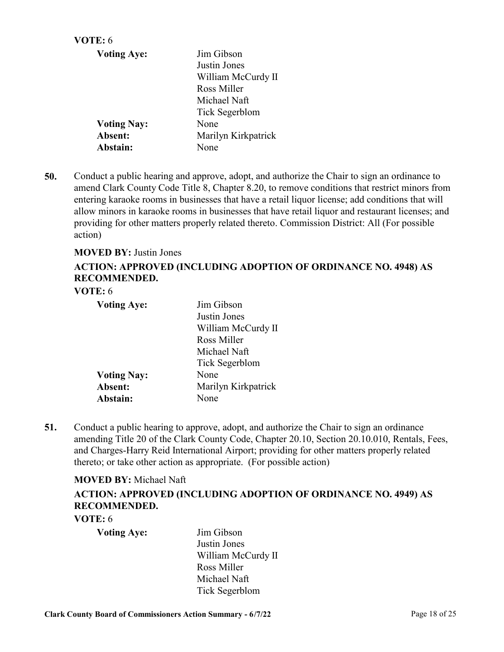| Jim Gibson          |
|---------------------|
| Justin Jones        |
| William McCurdy II  |
| Ross Miller         |
| Michael Naft        |
| Tick Segerblom      |
| None                |
| Marilyn Kirkpatrick |
| None                |
|                     |

Conduct a public hearing and approve, adopt, and authorize the Chair to sign an ordinance to [amend Clark County Code Title 8, Chapter 8.20, to remove conditions that restrict minors from](http://clark.legistar.com/gateway.aspx?m=l&id=/matter.aspx?key=8993)  entering karaoke rooms in businesses that have a retail liquor license; add conditions that will allow minors in karaoke rooms in businesses that have retail liquor and restaurant licenses; and providing for other matters properly related thereto. Commission District: All (For possible action) **50.**

#### **MOVED BY:** Justin Jones

## **ACTION: APPROVED (INCLUDING ADOPTION OF ORDINANCE NO. 4948) AS RECOMMENDED.**

## **VOTE:** 6

| <b>Voting Aye:</b> | Jim Gibson          |
|--------------------|---------------------|
|                    | Justin Jones        |
|                    | William McCurdy II  |
|                    | Ross Miller         |
|                    | Michael Naft        |
|                    | Tick Segerblom      |
| <b>Voting Nay:</b> | None                |
| Absent:            | Marilyn Kirkpatrick |
| Abstain:           | None                |

Conduct a public hearing to approve, adopt, and authorize the Chair to sign an ordinance [amending Title 20 of the Clark County Code, Chapter 20.10, Section 20.10.010, Rentals, Fees,](http://clark.legistar.com/gateway.aspx?m=l&id=/matter.aspx?key=8995)  and Charges-Harry Reid International Airport; providing for other matters properly related thereto; or take other action as appropriate. (For possible action) **51.**

#### **MOVED BY:** Michael Naft

## **ACTION: APPROVED (INCLUDING ADOPTION OF ORDINANCE NO. 4949) AS RECOMMENDED.**

#### **VOTE:** 6

**Voting Aye:** Jim Gibson

Justin Jones William McCurdy II Ross Miller Michael Naft Tick Segerblom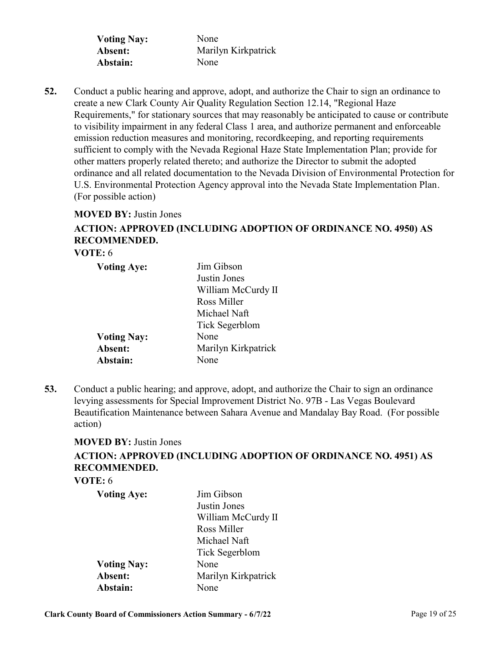| <b>Voting Nay:</b> | None                |
|--------------------|---------------------|
| Absent:            | Marilyn Kirkpatrick |
| Abstain:           | None                |

Conduct a public hearing and approve, adopt, and authorize the Chair to sign an ordinance to create a new Clark County Air Quality Regulation Section 12.14, "Regional Haze Requirements," for stationary sources that may reasonably be anticipated to cause or contribute to visibility impairment in any federal Class 1 area, and authorize permanent and enforceable emission reduction measures and monitoring, recordkeeping, and reporting requirements sufficient to comply with the Nevada Regional Haze State Implementation Plan; provide for other matters properly related thereto; and authorize the Director to submit the adopted [ordinance and all related documentation to the Nevada Division of Environmental Protection for](http://clark.legistar.com/gateway.aspx?m=l&id=/matter.aspx?key=8999)  U.S. Environmental Protection Agency approval into the Nevada State Implementation Plan. (For possible action) **52.**

#### **MOVED BY:** Justin Jones

## **ACTION: APPROVED (INCLUDING ADOPTION OF ORDINANCE NO. 4950) AS RECOMMENDED.**

## **VOTE:** 6

| <b>Voting Aye:</b> | Jim Gibson          |
|--------------------|---------------------|
|                    | Justin Jones        |
|                    | William McCurdy II  |
|                    | Ross Miller         |
|                    | Michael Naft        |
|                    | Tick Segerblom      |
| <b>Voting Nay:</b> | None                |
| Absent:            | Marilyn Kirkpatrick |
| Abstain:           | None                |

Conduct a public hearing; and approve, adopt, and authorize the Chair to sign an ordinance levying assessments for Special Improvement District No. 97B - Las Vegas Boulevard [Beautification Maintenance between Sahara Avenue and Mandalay Bay Road. \(For possible](http://clark.legistar.com/gateway.aspx?m=l&id=/matter.aspx?key=9012)  action) **53.**

#### **MOVED BY:** Justin Jones

## **ACTION: APPROVED (INCLUDING ADOPTION OF ORDINANCE NO. 4951) AS RECOMMENDED.**

**VOTE:** 6

| <b>Voting Aye:</b> | Jim Gibson          |
|--------------------|---------------------|
|                    | Justin Jones        |
|                    | William McCurdy II  |
|                    | Ross Miller         |
|                    | Michael Naft        |
|                    | Tick Segerblom      |
| <b>Voting Nay:</b> | None                |
| Absent:            | Marilyn Kirkpatrick |
| Abstain:           | None                |
|                    |                     |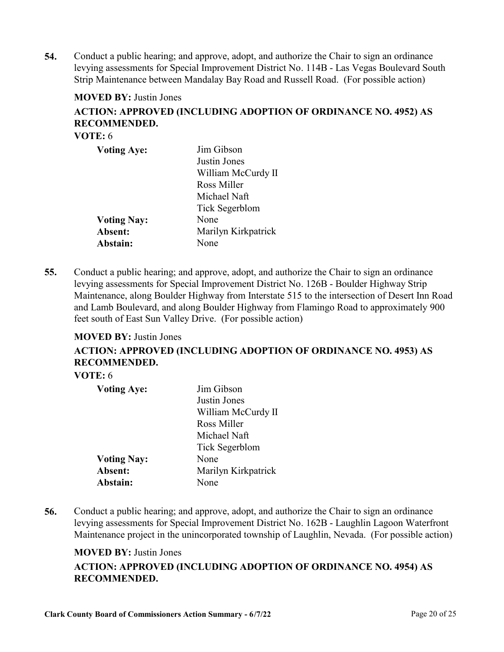Conduct a public hearing; and approve, adopt, and authorize the Chair to sign an ordinance [levying assessments for Special Improvement District No. 114B - Las Vegas Boulevard South](http://clark.legistar.com/gateway.aspx?m=l&id=/matter.aspx?key=9013)  Strip Maintenance between Mandalay Bay Road and Russell Road. (For possible action) **54.**

#### **MOVED BY:** Justin Jones

## **ACTION: APPROVED (INCLUDING ADOPTION OF ORDINANCE NO. 4952) AS RECOMMENDED.**

**VOTE:** 6

| <b>Voting Aye:</b> | Jim Gibson          |
|--------------------|---------------------|
|                    | Justin Jones        |
|                    | William McCurdy II  |
|                    | Ross Miller         |
|                    | Michael Naft        |
|                    | Tick Segerblom      |
| <b>Voting Nay:</b> | None                |
| Absent:            | Marilyn Kirkpatrick |
| Abstain:           | None                |

Conduct a public hearing; and approve, adopt, and authorize the Chair to sign an ordinance levying assessments for Special Improvement District No. 126B - Boulder Highway Strip [Maintenance, along Boulder Highway from Interstate 515 to the intersection of Desert Inn Road](http://clark.legistar.com/gateway.aspx?m=l&id=/matter.aspx?key=9014)  and Lamb Boulevard, and along Boulder Highway from Flamingo Road to approximately 900 feet south of East Sun Valley Drive. (For possible action) **55.**

#### **MOVED BY:** Justin Jones

**ACTION: APPROVED (INCLUDING ADOPTION OF ORDINANCE NO. 4953) AS RECOMMENDED.**

## **VOTE:** 6

| <b>Voting Aye:</b> | Jim Gibson          |
|--------------------|---------------------|
|                    | Justin Jones        |
|                    | William McCurdy II  |
|                    | Ross Miller         |
|                    | Michael Naft        |
|                    | Tick Segerblom      |
| <b>Voting Nay:</b> | None                |
| Absent:            | Marilyn Kirkpatrick |
| Abstain:           | None                |

Conduct a public hearing; and approve, adopt, and authorize the Chair to sign an ordinance levying assessments for Special Improvement District No. 162B - Laughlin Lagoon Waterfront [Maintenance project in the unincorporated township of Laughlin, Nevada. \(For possible action\)](http://clark.legistar.com/gateway.aspx?m=l&id=/matter.aspx?key=9015) **56.**

#### **MOVED BY:** Justin Jones

## **ACTION: APPROVED (INCLUDING ADOPTION OF ORDINANCE NO. 4954) AS RECOMMENDED.**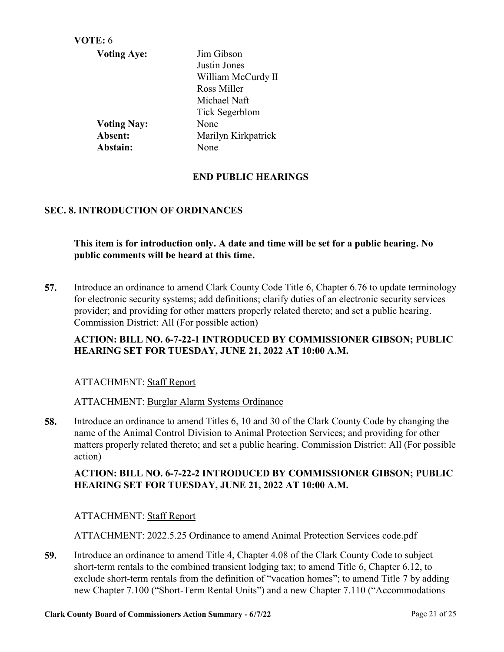| VOTE: 6            |                     |
|--------------------|---------------------|
| <b>Voting Aye:</b> | Jim Gibson          |
|                    | Justin Jones        |
|                    | William McCurdy II  |
|                    | Ross Miller         |
|                    | Michael Naft        |
|                    | Tick Segerblom      |
| <b>Voting Nay:</b> | None                |
| Absent:            | Marilyn Kirkpatrick |
| Abstain:           | None                |
|                    |                     |

## **END PUBLIC HEARINGS**

## **SEC. 8. INTRODUCTION OF ORDINANCES**

**This item is for introduction only. A date and time will be set for a public hearing. No public comments will be heard at this time.**

[Introduce an ordinance to amend Clark County Code Title 6, Chapter 6.76 to update terminology](http://clark.legistar.com/gateway.aspx?m=l&id=/matter.aspx?key=8991)  for electronic security systems; add definitions; clarify duties of an electronic security services provider; and providing for other matters properly related thereto; and set a public hearing. Commission District: All (For possible action) **57.**

## **ACTION: BILL NO. 6-7-22-1 INTRODUCED BY COMMISSIONER GIBSON; PUBLIC HEARING SET FOR TUESDAY, JUNE 21, 2022 AT 10:00 A.M.**

#### ATTACHMENT: Staff Report

ATTACHMENT: Burglar Alarm Systems Ordinance

Introduce an ordinance to amend Titles 6, 10 and 30 of the Clark County Code by changing the name of the Animal Control Division to Animal Protection Services; and providing for other [matters properly related thereto; and set a public hearing. Commission District: All \(For possible](http://clark.legistar.com/gateway.aspx?m=l&id=/matter.aspx?key=9009)  action) **58.**

## **ACTION: BILL NO. 6-7-22-2 INTRODUCED BY COMMISSIONER GIBSON; PUBLIC HEARING SET FOR TUESDAY, JUNE 21, 2022 AT 10:00 A.M.**

#### ATTACHMENT: Staff Report

ATTACHMENT: 2022.5.25 Ordinance to amend Animal Protection Services code.pdf

Introduce an ordinance to amend Title 4, Chapter 4.08 of the Clark County Code to subject short-term rentals to the combined transient lodging tax; to amend Title 6, Chapter 6.12, to [exclude short-term rentals from the definition of "vacation homes"; to amend Title 7 by adding](http://clark.legistar.com/gateway.aspx?m=l&id=/matter.aspx?key=9018)  new Chapter 7.100 ("Short-Term Rental Units") and a new Chapter 7.110 ("Accommodations **59.**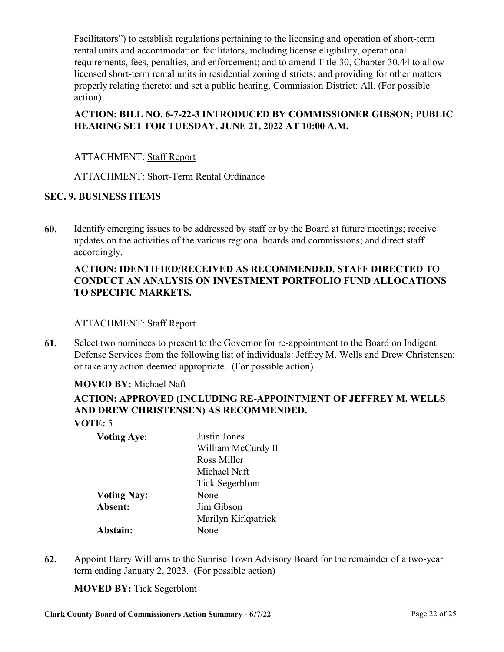Facilitators") to establish regulations pertaining to the licensing and operation of short-term rental units and accommodation facilitators, including license eligibility, operational [requirements, fees, penalties, and enforcement; and to amend Title 30, Chapter 30.44 to allow](http://clark.legistar.com/gateway.aspx?m=l&id=/matter.aspx?key=9018)  licensed short-term rental units in residential zoning districts; and providing for other matters properly relating thereto; and set a public hearing. Commission District: All. (For possible action)

## **ACTION: BILL NO. 6-7-22-3 INTRODUCED BY COMMISSIONER GIBSON; PUBLIC HEARING SET FOR TUESDAY, JUNE 21, 2022 AT 10:00 A.M.**

## ATTACHMENT: Staff Report

## ATTACHMENT: Short-Term Rental Ordinance

## **SEC. 9. BUSINESS ITEMS**

[Identify emerging issues to be addressed by staff or by the Board at future meetings; receive](http://clark.legistar.com/gateway.aspx?m=l&id=/matter.aspx?key=8548)  updates on the activities of the various regional boards and commissions; and direct staff accordingly. **60.**

## **ACTION: IDENTIFIED/RECEIVED AS RECOMMENDED. STAFF DIRECTED TO CONDUCT AN ANALYSIS ON INVESTMENT PORTFOLIO FUND ALLOCATIONS TO SPECIFIC MARKETS.**

## ATTACHMENT: Staff Report

Select two nominees to present to the Governor for re-appointment to the Board on Indigent [Defense Services from the following list of individuals: Jeffrey M. Wells and Drew Christensen;](http://clark.legistar.com/gateway.aspx?m=l&id=/matter.aspx?key=8855)  or take any action deemed appropriate. (For possible action) **61.**

## **MOVED BY:** Michael Naft

## **ACTION: APPROVED (INCLUDING RE-APPOINTMENT OF JEFFREY M. WELLS AND DREW CHRISTENSEN) AS RECOMMENDED. VOTE:** 5

| <b>Voting Aye:</b> | Justin Jones        |
|--------------------|---------------------|
|                    | William McCurdy II  |
|                    | Ross Miller         |
|                    | Michael Naft        |
|                    | Tick Segerblom      |
| <b>Voting Nay:</b> | None                |
| Absent:            | Jim Gibson          |
|                    | Marilyn Kirkpatrick |
| Abstain:           | None                |

[Appoint Harry Williams to the Sunrise Town Advisory Board for the remainder of a two-year](http://clark.legistar.com/gateway.aspx?m=l&id=/matter.aspx?key=9023)  term ending January 2, 2023. (For possible action) **62.**

**MOVED BY:** Tick Segerblom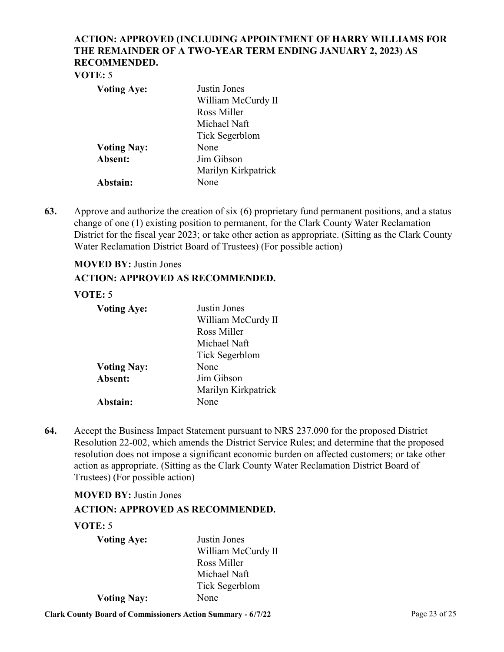## **ACTION: APPROVED (INCLUDING APPOINTMENT OF HARRY WILLIAMS FOR THE REMAINDER OF A TWO-YEAR TERM ENDING JANUARY 2, 2023) AS RECOMMENDED.**

#### **VOTE:** 5

| <b>Voting Aye:</b> | Justin Jones        |
|--------------------|---------------------|
|                    | William McCurdy II  |
|                    | Ross Miller         |
|                    | Michael Naft        |
|                    | Tick Segerblom      |
| <b>Voting Nay:</b> | None                |
| Absent:            | Jim Gibson          |
|                    | Marilyn Kirkpatrick |
| Abstain:           | None                |

Approve and authorize the creation of six (6) proprietary fund permanent positions, and a status change of one (1) existing position to permanent, for the Clark County Water Reclamation [District for the fiscal year 2023; or take other action as appropriate. \(Sitting as the Clark County](http://clark.legistar.com/gateway.aspx?m=l&id=/matter.aspx?key=8797)  Water Reclamation District Board of Trustees) (For possible action) **63.**

# **MOVED BY:** Justin Jones

## **ACTION: APPROVED AS RECOMMENDED.**

## **VOTE:** 5

| <b>Voting Aye:</b> | Justin Jones        |
|--------------------|---------------------|
|                    | William McCurdy II  |
|                    | Ross Miller         |
|                    | Michael Naft        |
|                    | Tick Segerblom      |
| <b>Voting Nay:</b> | None                |
| Absent:            | Jim Gibson          |
|                    | Marilyn Kirkpatrick |
| Abstain:           | None                |

Accept the Business Impact Statement pursuant to NRS 237.090 for the proposed District Resolution 22-002, which amends the District Service Rules; and determine that the proposed [resolution does not impose a significant economic burden on affected customers; or take other](http://clark.legistar.com/gateway.aspx?m=l&id=/matter.aspx?key=8850)  action as appropriate. (Sitting as the Clark County Water Reclamation District Board of Trustees) (For possible action) **64.**

#### **MOVED BY:** Justin Jones

## **ACTION: APPROVED AS RECOMMENDED.**

#### **VOTE:** 5

| <b>Voting Aye:</b> | Justin Jones          |
|--------------------|-----------------------|
|                    | William McCurdy II    |
|                    | Ross Miller           |
|                    | Michael Naft          |
|                    | <b>Tick Segerblom</b> |
| <b>Voting Nay:</b> | None                  |

**Clark County Board of Commissioners Action Summary - 6/7/22** Page 23 of 25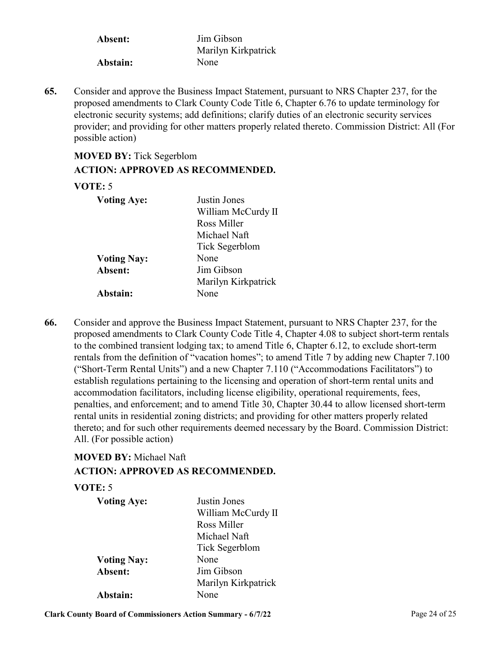**Absent:** Jim Gibson Marilyn Kirkpatrick **Abstain:** None

Consider and approve the Business Impact Statement, pursuant to NRS Chapter 237, for the proposed amendments to Clark County Code Title 6, Chapter 6.76 to update terminology for electronic security systems; add definitions; clarify duties of an electronic security services [provider; and providing for other matters properly related thereto. Commission District: All \(For](http://clark.legistar.com/gateway.aspx?m=l&id=/matter.aspx?key=8990)  possible action) **65.**

## **MOVED BY:** Tick Segerblom **ACTION: APPROVED AS RECOMMENDED.**

## **VOTE:** 5

| <b>Voting Aye:</b> | Justin Jones<br>William McCurdy II<br>Ross Miller |
|--------------------|---------------------------------------------------|
| <b>Voting Nay:</b> | Michael Naft<br>Tick Segerblom<br>None            |
| Absent:            | Jim Gibson<br>Marilyn Kirkpatrick                 |
| Abstain:           | None                                              |

Consider and approve the Business Impact Statement, pursuant to NRS Chapter 237, for the proposed amendments to Clark County Code Title 4, Chapter 4.08 to subject short-term rentals to the combined transient lodging tax; to amend Title 6, Chapter 6.12, to exclude short-term rentals from the definition of "vacation homes"; to amend Title 7 by adding new Chapter 7.100 ("Short-Term Rental Units") and a new Chapter 7.110 ("Accommodations Facilitators") to establish regulations pertaining to the licensing and operation of short-term rental units and accommodation facilitators, including license eligibility, operational requirements, fees, penalties, and enforcement; and to amend Title 30, Chapter 30.44 to allow licensed short-term rental units in residential zoning districts; and providing for other matters properly related thereto; and for such other requirements deemed necessary by the Board. Commission District: All. (For possible action) **66.**

## **MOVED BY:** Michael Naft

## **ACTION: APPROVED AS RECOMMENDED.**

#### **VOTE:** 5

| <b>Voting Aye:</b> | Justin Jones        |
|--------------------|---------------------|
|                    | William McCurdy II  |
|                    | Ross Miller         |
|                    | Michael Naft        |
|                    | Tick Segerblom      |
| <b>Voting Nay:</b> | None                |
| Absent:            | Jim Gibson          |
|                    | Marilyn Kirkpatrick |
| Abstain:           | None                |